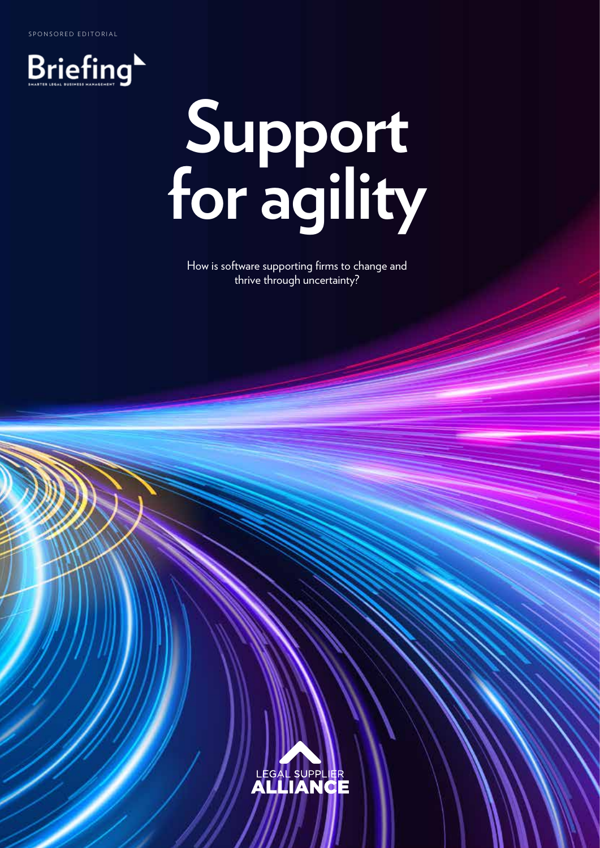SPONSORED EDITORIAL



# **Support for agility**

How is software supporting firms to change and thrive through uncertainty?



**Tweet us @Briefinglegal 29 Briefing** MAY 2020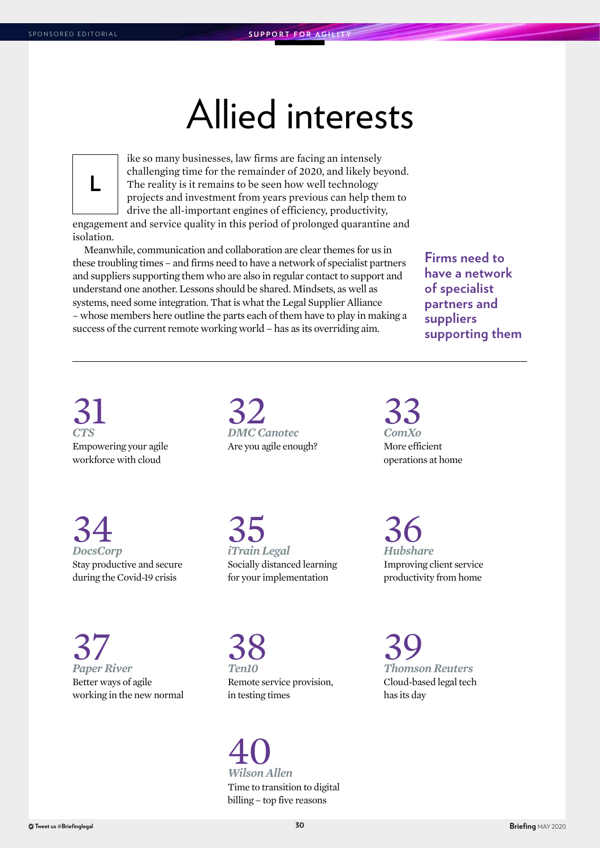# Allied interests



ike so many businesses, law firms are facing an intensely challenging time for the remainder of 2020, and likely beyond. The reality is it remains to be seen how well technology projects and investment from years previous can help them to drive the all-important engines of efficiency, productivity,

engagement and service quality in this period of prolonged quarantine and isolation.

Meanwhile, communication and collaboration are clear themes for us in these troubling times – and firms need to have a network of specialist partners and suppliers supporting them who are also in regular contact to support and understand one another. Lessons should be shared. Mindsets, as well as systems, need some integration. That is what the Legal Supplier Alliance – whose members here outline the parts each of them have to play in making a success of the current remote working world – has as its overriding aim.

**Firms need to have a network of specialist partners and suppliers supporting them**

[31](#page-2-0) *CTS* Empowering your agile workforce with cloud

[32](#page-3-0) *DMC Canotec* Are you agile enough?

[33](#page-4-0) *ComXo* More efficient operations at home

[34](#page-5-0) *DocsCorp* Stay productive and secure during the Covid-19 crisis

[35](#page-6-0) *iTrain Legal* Socially distanced learning for your implementation

[36](#page-7-0) *Hubshare* Improving client service productivity from home

[37](#page-8-0) *Paper River* Better ways of agile working in the new normal [38](#page-9-0) *Ten10* Remote service provision, in testing times

[40](#page-11-0) *Wilson Allen* Time to transition to digital billing – top five reasons

[39](#page-10-0) *Thomson Reuters* Cloud-based legal tech has its day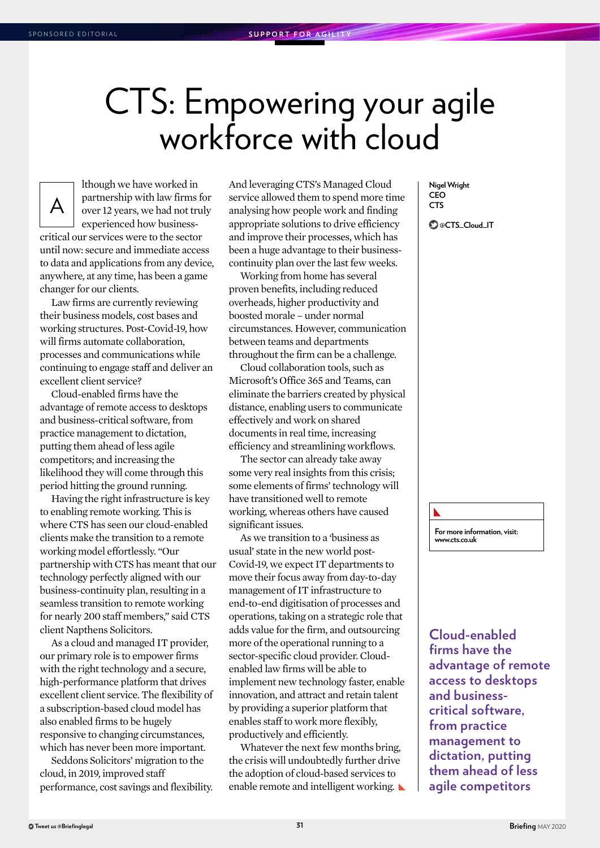### <span id="page-2-0"></span>CTS: Empowering your agile workforce with cloud



lthough we have worked in partnership with law firms for over 12 years, we had not truly experienced how business-

critical our services were to the sector until now: secure and immediate access to data and applications from any device, anywhere, at any time, has been a game changer for our clients.

Law firms are currently reviewing their business models, cost bases and working structures. Post-Covid-19, how will firms automate collaboration, processes and communications while continuing to engage staff and deliver an excellent client service?

Cloud-enabled firms have the advantage of remote access to desktops and business-critical software, from practice management to dictation, putting them ahead of less agile competitors; and increasing the likelihood they will come through this period hitting the ground running.

Having the right infrastructure is key to enabling remote working. This is where CTS has seen our cloud-enabled clients make the transition to a remote working model effortlessly. "Our partnership with CTS has meant that our technology perfectly aligned with our business-continuity plan, resulting in a seamless transition to remote working for nearly 200 staff members," said CTS client Napthens Solicitors.

As a cloud and managed IT provider, our primary role is to empower firms with the right technology and a secure, high-performance platform that drives excellent client service. The flexibility of a subscription-based cloud model has also enabled firms to be hugely responsive to changing circumstances, which has never been more important.

Seddons Solicitors' migration to the cloud, in 2019, improved staff performance, cost savings and flexibility. And leveraging CTS's Managed Cloud service allowed them to spend more time analysing how people work and finding appropriate solutions to drive efficiency and improve their processes, which has been a huge advantage to their businesscontinuity plan over the last few weeks.

Working from home has several proven benefits, including reduced overheads, higher productivity and boosted morale – under normal circumstances. However, communication between teams and departments throughout the firm can be a challenge.

Cloud collaboration tools, such as Microsoft's Office 365 and Teams, can eliminate the barriers created by physical distance, enabling users to communicate effectively and work on shared documents in real time, increasing efficiency and streamlining workflows.

The sector can already take away some very real insights from this crisis; some elements of firms' technology will have transitioned well to remote working, whereas others have caused significant issues.

As we transition to a 'business as usual' state in the new world post-Covid-19, we expect IT departments to move their focus away from day-to-day management of IT infrastructure to end-to-end digitisation of processes and operations, taking on a strategic role that adds value for the firm, and outsourcing more of the operational running to a sector-specific cloud provider. Cloudenabled law firms will be able to implement new technology faster, enable innovation, and attract and retain talent by providing a superior platform that enables staff to work more flexibly, productively and efficiently.

Whatever the next few months bring, the crisis will undoubtedly further drive the adoption of cloud-based services to enable remote and intelligent working. **Nigel Wright CEO CTS**

**@CTS\_Cloud\_IT**

**[For more information, visit:](http://www.cts.co.uk)  www.cts.co.uk**

**Cloud-enabled firms have the advantage of remote access to desktops and businesscritical software, from practice management to dictation, putting them ahead of less agile competitors**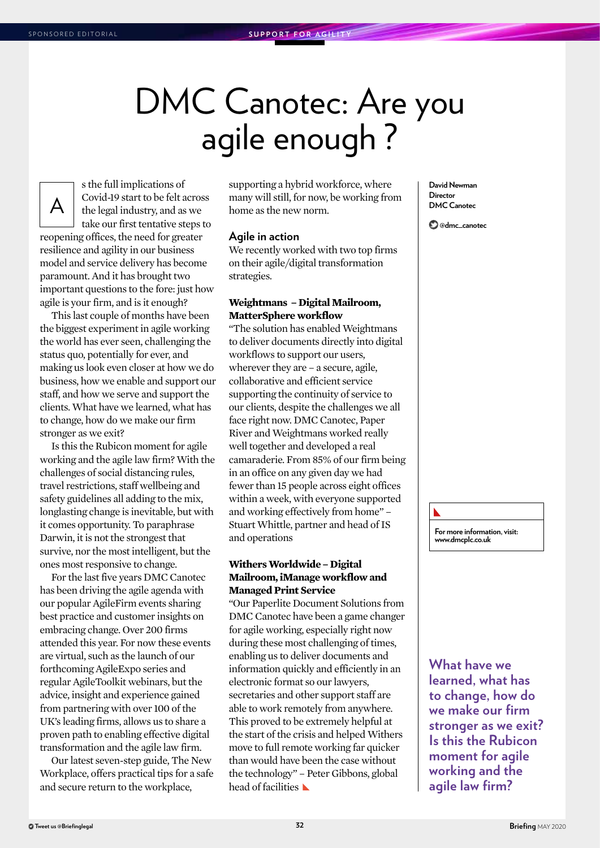# <span id="page-3-0"></span>DMC Canotec: Are you agile enough ?



s the full implications of Covid-19 start to be felt across the legal industry, and as we take our first tentative steps to

reopening offices, the need for greater resilience and agility in our business model and service delivery has become paramount. And it has brought two important questions to the fore: just how agile is your firm, and is it enough?

This last couple of months have been the biggest experiment in agile working the world has ever seen, challenging the status quo, potentially for ever, and making us look even closer at how we do business, how we enable and support our staff, and how we serve and support the clients. What have we learned, what has to change, how do we make our firm stronger as we exit?

Is this the Rubicon moment for agile working and the agile law firm? With the challenges of social distancing rules, travel restrictions, staff wellbeing and safety guidelines all adding to the mix, longlasting change is inevitable, but with it comes opportunity. To paraphrase Darwin, it is not the strongest that survive, nor the most intelligent, but the ones most responsive to change.

For the last five years DMC Canotec has been driving the agile agenda with our popular AgileFirm events sharing best practice and customer insights on embracing change. Over 200 firms attended this year. For now these events are virtual, such as the launch of our forthcoming AgileExpo series and regular AgileToolkit webinars, but the advice, insight and experience gained from partnering with over 100 of the UK's leading firms, allows us to share a proven path to enabling effective digital transformation and the agile law firm.

Our latest seven-step guide, The New Workplace, offers practical tips for a safe and secure return to the workplace,

supporting a hybrid workforce, where many will still, for now, be working from home as the new norm.

### **Agile in action**

We recently worked with two top firms on their agile/digital transformation strategies.

### **Weightmans – Digital Mailroom, MatterSphere workflow**

"The solution has enabled Weightmans to deliver documents directly into digital workflows to support our users, wherever they are – a secure, agile, collaborative and efficient service supporting the continuity of service to our clients, despite the challenges we all face right now. DMC Canotec, Paper River and Weightmans worked really well together and developed a real camaraderie. From 85% of our firm being in an office on any given day we had fewer than 15 people across eight offices within a week, with everyone supported and working effectively from home" – Stuart Whittle, partner and head of IS and operations

### **Withers Worldwide – Digital Mailroom, iManage workflow and Managed Print Service**

"Our Paperlite Document Solutions from DMC Canotec have been a game changer for agile working, especially right now during these most challenging of times, enabling us to deliver documents and information quickly and efficiently in an electronic format so our lawyers, secretaries and other support staff are able to work remotely from anywhere. This proved to be extremely helpful at the start of the crisis and helped Withers move to full remote working far quicker than would have been the case without the technology" – Peter Gibbons, global head of facilities  $\blacktriangle$ 

**David Newman Director DMC Canotec**

**@dmc\_canotec**

**[For more information, visit:](http://www.dmcplc.co.uk)  www.dmcplc.co.uk**

**What have we learned, what has to change, how do we make our firm stronger as we exit? Is this the Rubicon moment for agile working and the agile law firm?**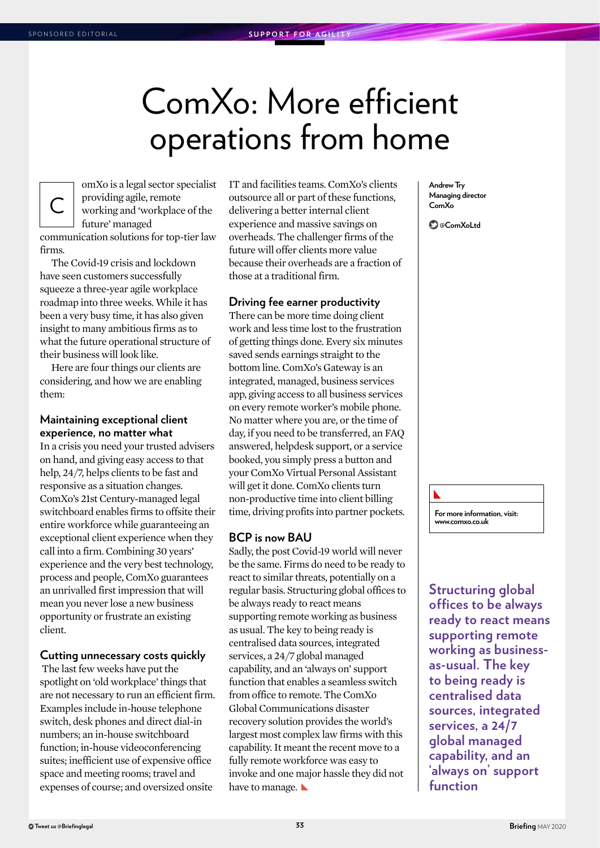# <span id="page-4-0"></span>ComXo: More efficient operations from home



omXo is a legal sector specialist providing agile, remote working and 'workplace of the future' managed

communication solutions for top-tier law firms.

The Covid-19 crisis and lockdown have seen customers successfully squeeze a three-year agile workplace roadmap into three weeks. While it has been a very busy time, it has also given insight to many ambitious firms as to what the future operational structure of their business will look like.

Here are four things our clients are considering, and how we are enabling them:

### **Maintaining exceptional client experience, no matter what**

In a crisis you need your trusted advisers on hand, and giving easy access to that help, 24/7, helps clients to be fast and responsive as a situation changes. ComXo's 21st Century-managed legal switchboard enables firms to offsite their entire workforce while guaranteeing an exceptional client experience when they call into a firm. Combining 30 years' experience and the very best technology, process and people, ComXo guarantees an unrivalled first impression that will mean you never lose a new business opportunity or frustrate an existing client.

### **Cutting unnecessary costs quickly**

 The last few weeks have put the spotlight on 'old workplace' things that are not necessary to run an efficient firm. Examples include in-house telephone switch, desk phones and direct dial-in numbers; an in-house switchboard function; in-house videoconferencing suites; inefficient use of expensive office space and meeting rooms; travel and expenses of course; and oversized onsite

IT and facilities teams. ComXo's clients outsource all or part of these functions, delivering a better internal client experience and massive savings on overheads. The challenger firms of the future will offer clients more value because their overheads are a fraction of those at a traditional firm.

### **Driving fee earner productivity**

There can be more time doing client work and less time lost to the frustration of getting things done. Every six minutes saved sends earnings straight to the bottom line. ComXo's Gateway is an integrated, managed, business services app, giving access to all business services on every remote worker's mobile phone. No matter where you are, or the time of day, if you need to be transferred, an FAQ answered, helpdesk support, or a service booked, you simply press a button and your ComXo Virtual Personal Assistant will get it done. ComXo clients turn non-productive time into client billing time, driving profits into partner pockets.

### **BCP is now BAU**

Sadly, the post Covid-19 world will never be the same. Firms do need to be ready to react to similar threats, potentially on a regular basis. Structuring global offices to be always ready to react means supporting remote working as business as usual. The key to being ready is centralised data sources, integrated services, a 24/7 global managed capability, and an 'always on' support function that enables a seamless switch from office to remote. The ComXo Global Communications disaster recovery solution provides the world's largest most complex law firms with this capability. It meant the recent move to a fully remote workforce was easy to invoke and one major hassle they did not have to manage.

**Andrew Try Managing director ComXo**

**@ComXoLtd**



**Structuring global offices to be always ready to react means supporting remote working as businessas-usual. The key to being ready is centralised data sources, integrated services, a 24/7 global managed capability, and an 'always on' support function**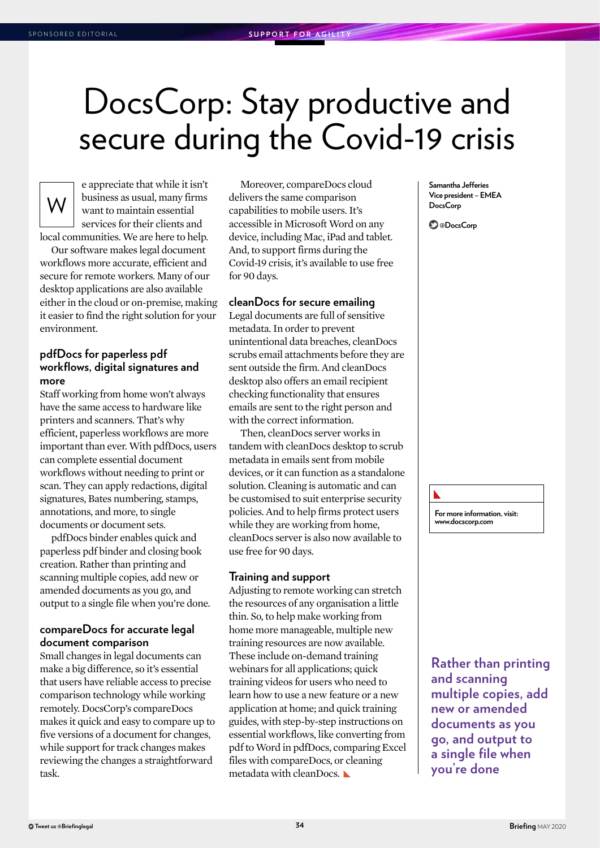# <span id="page-5-0"></span>DocsCorp: Stay productive and secure during the Covid-19 crisis



e appreciate that while it isn't business as usual, many firms want to maintain essential services for their clients and local communities. We are here to help.

Our software makes legal document workflows more accurate, efficient and secure for remote workers. Many of our desktop applications are also available either in the cloud or on-premise, making it easier to find the right solution for your environment.

### **pdfDocs for paperless pdf workflows, digital signatures and more**

Staff working from home won't always have the same access to hardware like printers and scanners. That's why efficient, paperless workflows are more important than ever. With pdfDocs, users can complete essential document workflows without needing to print or scan. They can apply redactions, digital signatures, Bates numbering, stamps, annotations, and more, to single documents or document sets.

pdfDocs binder enables quick and paperless pdf binder and closing book creation. Rather than printing and scanning multiple copies, add new or amended documents as you go, and output to a single file when you're done.

### **compareDocs for accurate legal document comparison**

Small changes in legal documents can make a big difference, so it's essential that users have reliable access to precise comparison technology while working remotely. DocsCorp's compareDocs makes it quick and easy to compare up to five versions of a document for changes, while support for track changes makes reviewing the changes a straightforward task.

Moreover, compareDocs cloud delivers the same comparison capabilities to mobile users. It's accessible in Microsoft Word on any device, including Mac, iPad and tablet. And, to support firms during the Covid-19 crisis, it's available to use free for 90 days.

### **cleanDocs for secure emailing**

Legal documents are full of sensitive metadata. In order to prevent unintentional data breaches, cleanDocs scrubs email attachments before they are sent outside the firm. And cleanDocs desktop also offers an email recipient checking functionality that ensures emails are sent to the right person and with the correct information.

Then, cleanDocs server works in tandem with cleanDocs desktop to scrub metadata in emails sent from mobile devices, or it can function as a standalone solution. Cleaning is automatic and can be customised to suit enterprise security policies. And to help firms protect users while they are working from home, cleanDocs server is also now available to use free for 90 days.

### **Training and support**

Adjusting to remote working can stretch the resources of any organisation a little thin. So, to help make working from home more manageable, multiple new training resources are now available. These include on-demand training webinars for all applications; quick training videos for users who need to learn how to use a new feature or a new application at home; and quick training guides, with step-by-step instructions on essential workflows, like converting from pdf to Word in pdfDocs, comparing Excel files with compareDocs, or cleaning metadata with cleanDocs.

**Samantha Jefferies Vice president – EMEA DocsCorp**

**@DocsCorp**

**[For more information, visit:](http://www.docscorp.com)  www.docscorp.com**

**Rather than printing and scanning multiple copies, add new or amended documents as you go, and output to a single file when you're done**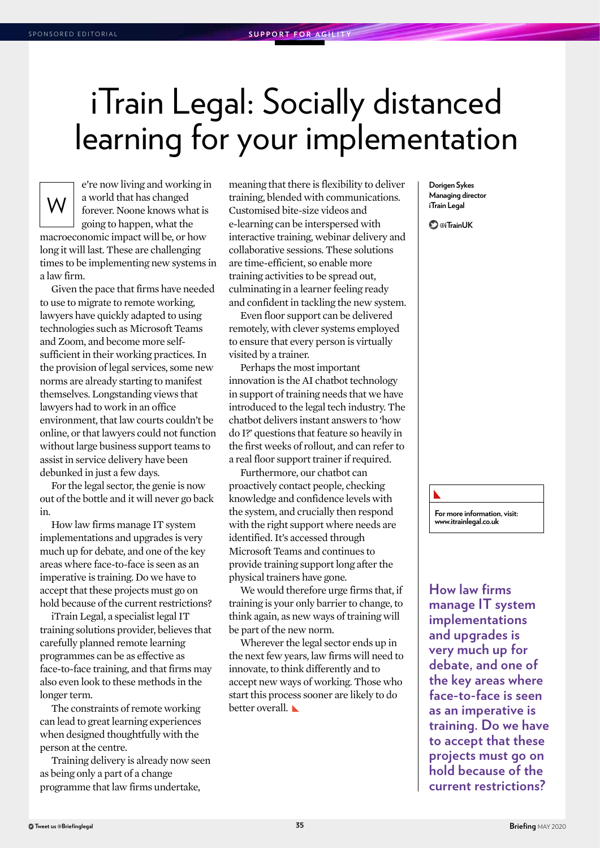# <span id="page-6-0"></span>iTrain Legal: Socially distanced learning for your implementation



e're now living and working in a world that has changed forever. Noone knows what is going to happen, what the macroeconomic impact will be, or how long it will last. These are challenging times to be implementing new systems in a law firm.

Given the pace that firms have needed to use to migrate to remote working, lawyers have quickly adapted to using technologies such as Microsoft Teams and Zoom, and become more selfsufficient in their working practices. In the provision of legal services, some new norms are already starting to manifest themselves. Longstanding views that lawyers had to work in an office environment, that law courts couldn't be online, or that lawyers could not function without large business support teams to assist in service delivery have been debunked in just a few days.

For the legal sector, the genie is now out of the bottle and it will never go back in.

How law firms manage IT system implementations and upgrades is very much up for debate, and one of the key areas where face-to-face is seen as an imperative is training. Do we have to accept that these projects must go on hold because of the current restrictions?

iTrain Legal, a specialist legal IT training solutions provider, believes that carefully planned remote learning programmes can be as effective as face-to-face training, and that firms may also even look to these methods in the longer term.

The constraints of remote working can lead to great learning experiences when designed thoughtfully with the person at the centre.

Training delivery is already now seen as being only a part of a change programme that law firms undertake,

meaning that there is flexibility to deliver training, blended with communications. Customised bite-size videos and e-learning can be interspersed with interactive training, webinar delivery and collaborative sessions. These solutions are time-efficient, so enable more training activities to be spread out, culminating in a learner feeling ready and confident in tackling the new system.

Even floor support can be delivered remotely, with clever systems employed to ensure that every person is virtually visited by a trainer.

Perhaps the most important innovation is the AI chatbot technology in support of training needs that we have introduced to the legal tech industry. The chatbot delivers instant answers to 'how do I?' questions that feature so heavily in the first weeks of rollout, and can refer to a real floor support trainer if required.

Furthermore, our chatbot can proactively contact people, checking knowledge and confidence levels with the system, and crucially then respond with the right support where needs are identified. It's accessed through Microsoft Teams and continues to provide training support long after the physical trainers have gone.

We would therefore urge firms that, if training is your only barrier to change, to think again, as new ways of training will be part of the new norm.

Wherever the legal sector ends up in the next few years, law firms will need to innovate, to think differently and to accept new ways of working. Those who start this process sooner are likely to do better overall.

**Dorigen Sykes Managing director iTrain Legal**

**@iTrainUK**

**[For more information, visit:](http://www.itrainlegal.co.uk)  www.itrainlegal.co.uk**

**How law firms manage IT system implementations and upgrades is very much up for debate, and one of the key areas where face-to-face is seen as an imperative is training. Do we have to accept that these projects must go on hold because of the current restrictions?**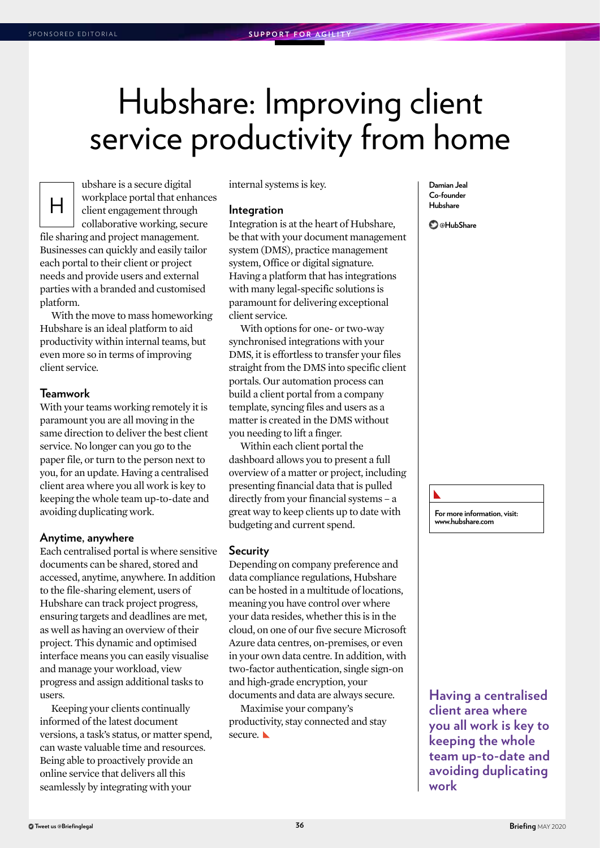# <span id="page-7-0"></span>Hubshare: Improving client service productivity from home



ubshare is a secure digital workplace portal that enhances client engagement through collaborative working, secure

file sharing and project management. Businesses can quickly and easily tailor each portal to their client or project needs and provide users and external parties with a branded and customised platform.

With the move to mass homeworking Hubshare is an ideal platform to aid productivity within internal teams, but even more so in terms of improving client service.

### **Teamwork**

With your teams working remotely it is paramount you are all moving in the same direction to deliver the best client service. No longer can you go to the paper file, or turn to the person next to you, for an update. Having a centralised client area where you all work is key to keeping the whole team up-to-date and avoiding duplicating work.

### **Anytime, anywhere**

Each centralised portal is where sensitive documents can be shared, stored and accessed, anytime, anywhere. In addition to the file-sharing element, users of Hubshare can track project progress, ensuring targets and deadlines are met, as well as having an overview of their project. This dynamic and optimised interface means you can easily visualise and manage your workload, view progress and assign additional tasks to users.

Keeping your clients continually informed of the latest document versions, a task's status, or matter spend, can waste valuable time and resources. Being able to proactively provide an online service that delivers all this seamlessly by integrating with your

internal systems is key.

#### **Integration**

Integration is at the heart of Hubshare, be that with your document management system (DMS), practice management system, Office or digital signature. Having a platform that has integrations with many legal-specific solutions is paramount for delivering exceptional client service.

With options for one- or two-way synchronised integrations with your DMS, it is effortless to transfer your files straight from the DMS into specific client portals. Our automation process can build a client portal from a company template, syncing files and users as a matter is created in the DMS without you needing to lift a finger.

Within each client portal the dashboard allows you to present a full overview of a matter or project, including presenting financial data that is pulled directly from your financial systems – a great way to keep clients up to date with budgeting and current spend.

#### **Security**

Depending on company preference and data compliance regulations, Hubshare can be hosted in a multitude of locations, meaning you have control over where your data resides, whether this is in the cloud, on one of our five secure Microsoft Azure data centres, on-premises, or even in your own data centre. In addition, with two-factor authentication, single sign-on and high-grade encryption, your documents and data are always secure.

Maximise your company's productivity, stay connected and stay secure.

**Damian Jeal Co-founder Hubshare**

**@HubShare**

**[For more information, visit:](http://www.hubshare.com)  www.hubshare.com**

**Having a centralised client area where you all work is key to keeping the whole team up-to-date and avoiding duplicating work**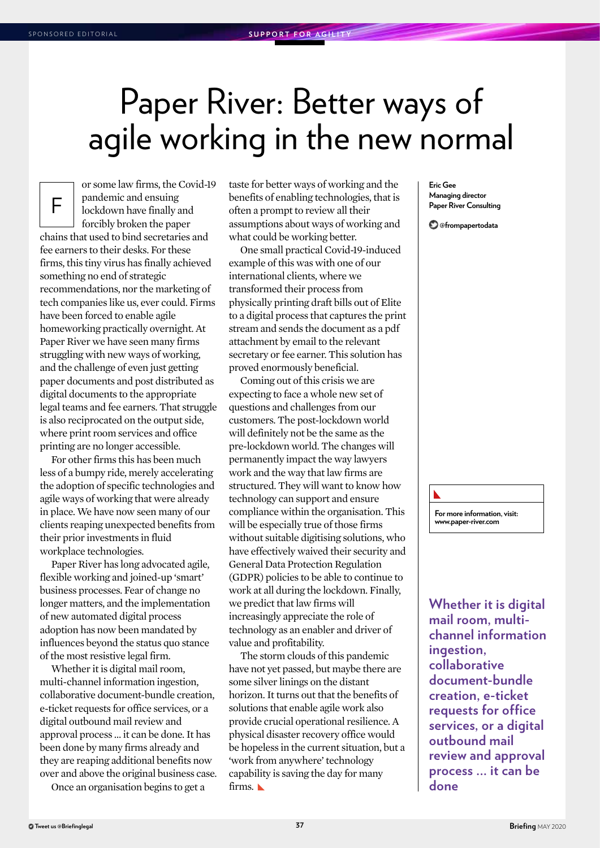### <span id="page-8-0"></span>Paper River: Better ways of agile working in the new normal



or some law firms, the Covid-19 pandemic and ensuing lockdown have finally and forcibly broken the paper

chains that used to bind secretaries and fee earners to their desks. For these firms, this tiny virus has finally achieved something no end of strategic recommendations, nor the marketing of tech companies like us, ever could. Firms have been forced to enable agile homeworking practically overnight. At Paper River we have seen many firms struggling with new ways of working, and the challenge of even just getting paper documents and post distributed as digital documents to the appropriate legal teams and fee earners. That struggle is also reciprocated on the output side, where print room services and office printing are no longer accessible.

For other firms this has been much less of a bumpy ride, merely accelerating the adoption of specific technologies and agile ways of working that were already in place. We have now seen many of our clients reaping unexpected benefits from their prior investments in fluid workplace technologies.

Paper River has long advocated agile, flexible working and joined-up 'smart' business processes. Fear of change no longer matters, and the implementation of new automated digital process adoption has now been mandated by influences beyond the status quo stance of the most resistive legal firm.

Whether it is digital mail room, multi-channel information ingestion, collaborative document-bundle creation, e-ticket requests for office services, or a digital outbound mail review and approval process … it can be done. It has been done by many firms already and they are reaping additional benefits now over and above the original business case.

Once an organisation begins to get a

taste for better ways of working and the benefits of enabling technologies, that is often a prompt to review all their assumptions about ways of working and what could be working better.

One small practical Covid-19-induced example of this was with one of our international clients, where we transformed their process from physically printing draft bills out of Elite to a digital process that captures the print stream and sends the document as a pdf attachment by email to the relevant secretary or fee earner. This solution has proved enormously beneficial.

Coming out of this crisis we are expecting to face a whole new set of questions and challenges from our customers. The post-lockdown world will definitely not be the same as the pre-lockdown world. The changes will permanently impact the way lawyers work and the way that law firms are structured. They will want to know how technology can support and ensure compliance within the organisation. This will be especially true of those firms without suitable digitising solutions, who have effectively waived their security and General Data Protection Regulation (GDPR) policies to be able to continue to work at all during the lockdown. Finally, we predict that law firms will increasingly appreciate the role of technology as an enabler and driver of value and profitability.

The storm clouds of this pandemic have not yet passed, but maybe there are some silver linings on the distant horizon. It turns out that the benefits of solutions that enable agile work also provide crucial operational resilience. A physical disaster recovery office would be hopeless in the current situation, but a 'work from anywhere' technology capability is saving the day for many firms.

**Eric Gee Managing director Paper River Consulting**

**@frompapertodata**

**[For more information, visit:](http://www.paper-river.com)  www.paper-river.com**

**Whether it is digital mail room, multichannel information ingestion, collaborative document-bundle creation, e-ticket requests for office services, or a digital outbound mail review and approval process ... it can be done**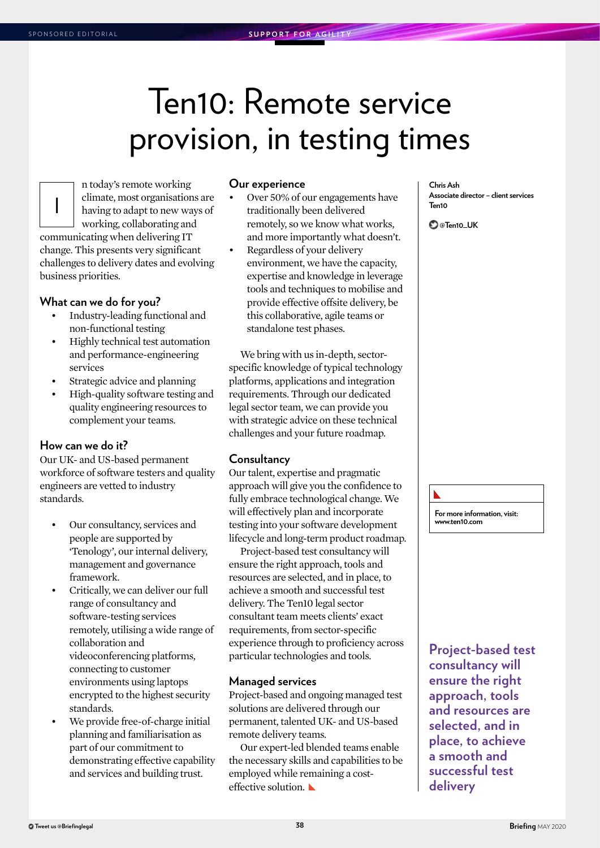### <span id="page-9-0"></span>Ten10: Remote service provision, in testing times



### n today's remote working climate, most organisations are having to adapt to new ways of working, collaborating and

communicating when delivering IT change. This presents very significant challenges to delivery dates and evolving business priorities.

### **What can we do for you?**

- Industry-leading functional and non-functional testing
- Highly technical test automation and performance-engineering services
- Strategic advice and planning
- High-quality software testing and quality engineering resources to complement your teams.

### **How can we do it?**

Our UK- and US-based permanent workforce of software testers and quality engineers are vetted to industry standards.

- Our consultancy, services and people are supported by 'Tenology', our internal delivery, management and governance framework.
- Critically, we can deliver our full range of consultancy and software-testing services remotely, utilising a wide range of collaboration and videoconferencing platforms, connecting to customer environments using laptops encrypted to the highest security standards.
- We provide free-of-charge initial planning and familiarisation as part of our commitment to demonstrating effective capability and services and building trust.

### **Our experience**

- Over 50% of our engagements have traditionally been delivered remotely, so we know what works, and more importantly what doesn't.
- Regardless of your delivery environment, we have the capacity, expertise and knowledge in leverage tools and techniques to mobilise and provide effective offsite delivery, be this collaborative, agile teams or standalone test phases.

We bring with us in-depth, sectorspecific knowledge of typical technology platforms, applications and integration requirements. Through our dedicated legal sector team, we can provide you with strategic advice on these technical challenges and your future roadmap.

### **Consultancy**

Our talent, expertise and pragmatic approach will give you the confidence to fully embrace technological change. We will effectively plan and incorporate testing into your software development lifecycle and long-term product roadmap.

Project-based test consultancy will ensure the right approach, tools and resources are selected, and in place, to achieve a smooth and successful test delivery. The Ten10 legal sector consultant team meets clients' exact requirements, from sector-specific experience through to proficiency across particular technologies and tools.

### **Managed services**

Project-based and ongoing managed test solutions are delivered through our permanent, talented UK- and US-based remote delivery teams.

Our expert-led blended teams enable the necessary skills and capabilities to be employed while remaining a costeffective solution.

**Chris Ash Associate director – client services Ten10**

**@Ten10\_UK**

**[For more information, visit:](http://www.ten10.com)  www.ten10.com**

**Project-based test consultancy will ensure the right approach, tools and resources are selected, and in place, to achieve a smooth and successful test delivery**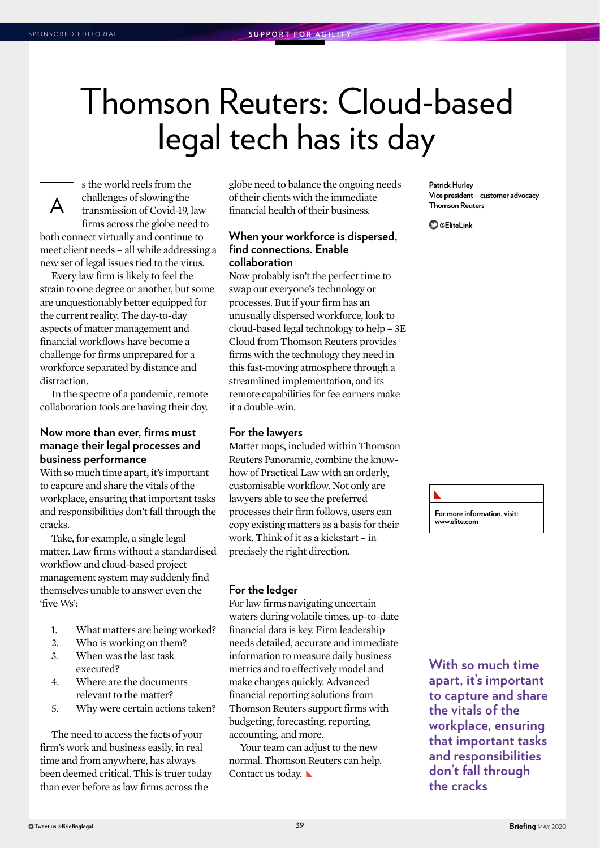# <span id="page-10-0"></span>Thomson Reuters: Cloud-based legal tech has its day



s the world reels from the challenges of slowing the transmission of Covid-19, law firms across the globe need to

both connect virtually and continue to meet client needs – all while addressing a new set of legal issues tied to the virus.

Every law firm is likely to feel the strain to one degree or another, but some are unquestionably better equipped for the current reality. The day-to-day aspects of matter management and financial workflows have become a challenge for firms unprepared for a workforce separated by distance and distraction.

In the spectre of a pandemic, remote collaboration tools are having their day.

### **Now more than ever, firms must manage their legal processes and business performance**

With so much time apart, it's important to capture and share the vitals of the workplace, ensuring that important tasks and responsibilities don't fall through the cracks.

Take, for example, a single legal matter. Law firms without a standardised workflow and cloud-based project management system may suddenly find themselves unable to answer even the 'five Ws':

- 1. What matters are being worked?
- 2. Who is working on them?
- 3. When was the last task executed?
- 4. Where are the documents relevant to the matter?
- 5. Why were certain actions taken?

The need to access the facts of your firm's work and business easily, in real time and from anywhere, has always been deemed critical. This is truer today than ever before as law firms across the

globe need to balance the ongoing needs of their clients with the immediate financial health of their business.

### **When your workforce is dispersed, find connections. Enable collaboration**

Now probably isn't the perfect time to swap out everyone's technology or processes. But if your firm has an unusually dispersed workforce, look to cloud-based legal technology to help – 3E Cloud from Thomson Reuters provides firms with the technology they need in this fast-moving atmosphere through a streamlined implementation, and its remote capabilities for fee earners make it a double-win.

### **For the lawyers**

Matter maps, included within Thomson Reuters Panoramic, combine the knowhow of Practical Law with an orderly, customisable workflow. Not only are lawyers able to see the preferred processes their firm follows, users can copy existing matters as a basis for their work. Think of it as a kickstart – in precisely the right direction.

### **For the ledger**

For law firms navigating uncertain waters during volatile times, up-to-date financial data is key. Firm leadership needs detailed, accurate and immediate information to measure daily business metrics and to effectively model and make changes quickly. Advanced financial reporting solutions from Thomson Reuters support firms with budgeting, forecasting, reporting, accounting, and more.

Your team can adjust to the new normal. Thomson Reuters can help. Contact us today.

**Patrick Hurley Vice president – customer advocacy Thomson Reuters**

**@EliteLink**

**[For more information, visit:](http://www.elite.com)  www.elite.com**

**With so much time apart, it's important to capture and share the vitals of the workplace, ensuring that important tasks and responsibilities don't fall through the cracks**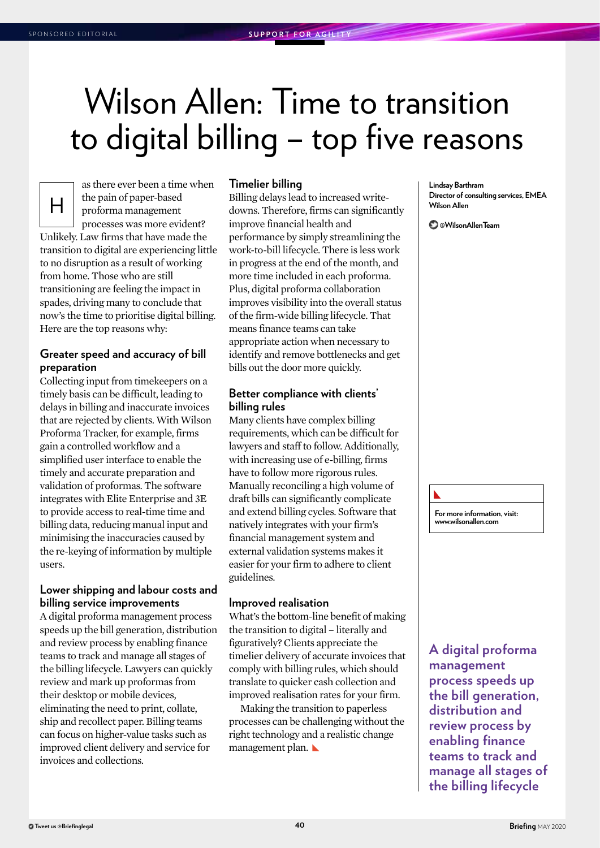# <span id="page-11-0"></span>Wilson Allen: Time to transition to digital billing – top five reasons

 $\mathsf{H}$ as there ever been a time when the pain of paper-based proforma management processes was more evident? Unlikely. Law firms that have made the transition to digital are experiencing little to no disruption as a result of working from home. Those who are still transitioning are feeling the impact in spades, driving many to conclude that now's the time to prioritise digital billing. Here are the top reasons why:

### **Greater speed and accuracy of bill preparation**

Collecting input from timekeepers on a timely basis can be difficult, leading to delays in billing and inaccurate invoices that are rejected by clients. With Wilson Proforma Tracker, for example, firms gain a controlled workflow and a simplified user interface to enable the timely and accurate preparation and validation of proformas. The software integrates with Elite Enterprise and 3E to provide access to real-time time and billing data, reducing manual input and minimising the inaccuracies caused by the re-keying of information by multiple users.

### **Lower shipping and labour costs and billing service improvements**

A digital proforma management process speeds up the bill generation, distribution and review process by enabling finance teams to track and manage all stages of the billing lifecycle. Lawyers can quickly review and mark up proformas from their desktop or mobile devices, eliminating the need to print, collate, ship and recollect paper. Billing teams can focus on higher-value tasks such as improved client delivery and service for invoices and collections.

### **Timelier billing**

Billing delays lead to increased writedowns. Therefore, firms can significantly improve financial health and performance by simply streamlining the work-to-bill lifecycle. There is less work in progress at the end of the month, and more time included in each proforma. Plus, digital proforma collaboration improves visibility into the overall status of the firm-wide billing lifecycle. That means finance teams can take appropriate action when necessary to identify and remove bottlenecks and get bills out the door more quickly.

### **Better compliance with clients' billing rules**

Many clients have complex billing requirements, which can be difficult for lawyers and staff to follow. Additionally, with increasing use of e-billing, firms have to follow more rigorous rules. Manually reconciling a high volume of draft bills can significantly complicate and extend billing cycles. Software that natively integrates with your firm's financial management system and external validation systems makes it easier for your firm to adhere to client guidelines.

### **Improved realisation**

What's the bottom-line benefit of making the transition to digital – literally and figuratively? Clients appreciate the timelier delivery of accurate invoices that comply with billing rules, which should translate to quicker cash collection and improved realisation rates for your firm.

Making the transition to paperless processes can be challenging without the right technology and a realistic change management plan.

**Lindsay Barthram Director of consulting services, EMEA**

**Wilson Allen @WilsonAllenTeam**

**[For more information, visit:](http://www.wilsonallen.com)  www.wilsonallen.com**

**A digital proforma management process speeds up the bill generation, distribution and review process by enabling finance teams to track and manage all stages of the billing lifecycle**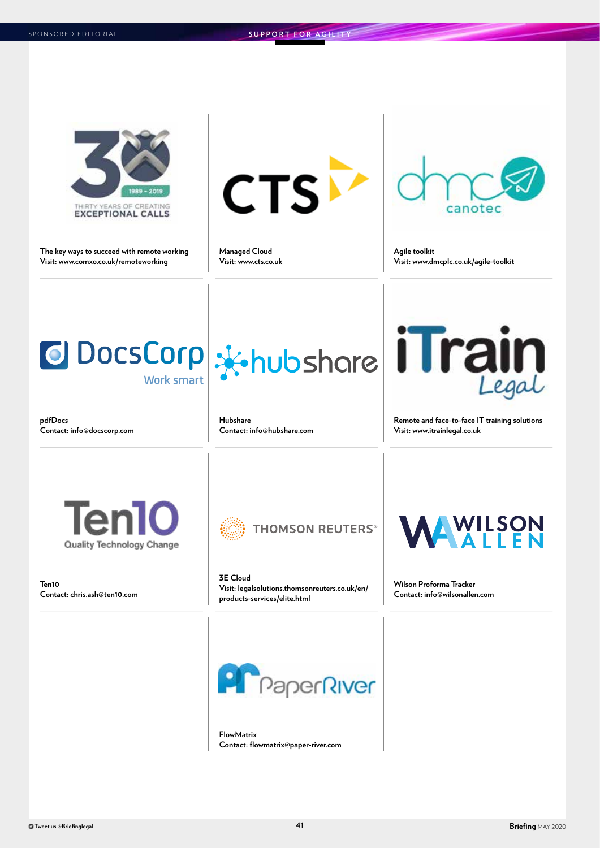

**[The key ways to succeed with remote working](http://www.comxo.co.uk/remoteworking) Visit: www.comxo.co.uk/remoteworking**

**CTS** 

**Managed Cloud [Visit: www.cts.co.uk](http://www.cts.co.uk)**



**Agile toolkit [Visit: www.dmcplc.co.uk/agile-toolkit](http://www.dmcplc.co.uk/agile-toolkit)**



**pdfDocs [Contact: info@docscorp.com](mailto:info%40docscorp.com?subject=Briefing)**

**Hubshare [Contact: info@hubshare.com](mailto:info%40hubshare.com?subject=Briefing)**



**[Remote and face-to-face IT training solutions](http://www.itrainlegal.co.uk) Visit: www.itrainlegal.co.uk**

Quality Technology Change

**Ten10 [Contact: chris.ash@ten10.com](mailto:chris.ash%40ten10.com?subject=Briefing)**



**3E Cloud [Visit: legalsolutions.thomsonreuters.co.uk/en/](https://legalsolutions.thomsonreuters.co.uk/en/products-services/elite.html) products-services/elite.html**



**Wilson Proforma Tracker [Contact: info@wilsonallen.com](mailto:info%40wilsonallen.com?subject=Briefing)**



**FlowMatrix [Contact: flowmatrix@paper-river.com](mailto:flowmatrix%40paper-river.com?subject=Briefing)**